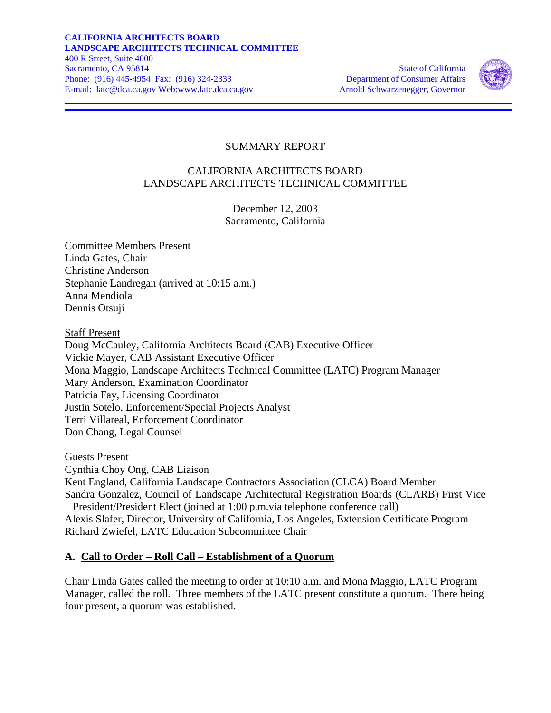

### SUMMARY REPORT

### CALIFORNIA ARCHITECTS BOARD LANDSCAPE ARCHITECTS TECHNICAL COMMITTEE

December 12, 2003 Sacramento, California

Committee Members Present Linda Gates, Chair Christine Anderson Stephanie Landregan (arrived at 10:15 a.m.) Anna Mendiola Dennis Otsuji

Staff Present

Doug McCauley, California Architects Board (CAB) Executive Officer Vickie Mayer, CAB Assistant Executive Officer Mona Maggio, Landscape Architects Technical Committee (LATC) Program Manager Mary Anderson, Examination Coordinator Patricia Fay, Licensing Coordinator Justin Sotelo, Enforcement/Special Projects Analyst Terri Villareal, Enforcement Coordinator Don Chang, Legal Counsel

Guests Present

Cynthia Choy Ong, CAB Liaison Kent England, California Landscape Contractors Association (CLCA) Board Member Sandra Gonzalez, Council of Landscape Architectural Registration Boards (CLARB) First Vice President/President Elect (joined at 1:00 p.m.via telephone conference call) Alexis Slafer, Director, University of California, Los Angeles, Extension Certificate Program Richard Zwiefel, LATC Education Subcommittee Chair

#### **A. Call to Order – Roll Call – Establishment of a Quorum**

Chair Linda Gates called the meeting to order at 10:10 a.m. and Mona Maggio, LATC Program Manager, called the roll. Three members of the LATC present constitute a quorum. There being four present, a quorum was established.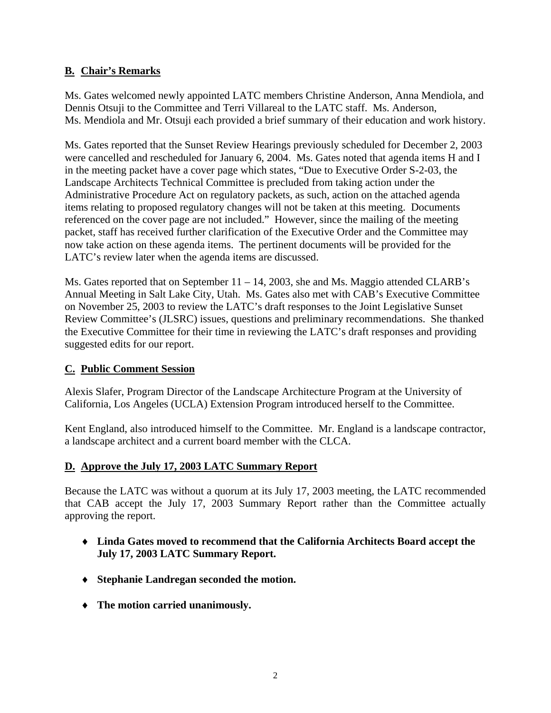## **B. Chair's Remarks**

Ms. Gates welcomed newly appointed LATC members Christine Anderson, Anna Mendiola, and Dennis Otsuji to the Committee and Terri Villareal to the LATC staff. Ms. Anderson, Ms. Mendiola and Mr. Otsuji each provided a brief summary of their education and work history.

Ms. Gates reported that the Sunset Review Hearings previously scheduled for December 2, 2003 were cancelled and rescheduled for January 6, 2004. Ms. Gates noted that agenda items H and I in the meeting packet have a cover page which states, "Due to Executive Order S-2-03, the Landscape Architects Technical Committee is precluded from taking action under the Administrative Procedure Act on regulatory packets, as such, action on the attached agenda items relating to proposed regulatory changes will not be taken at this meeting. Documents referenced on the cover page are not included." However, since the mailing of the meeting packet, staff has received further clarification of the Executive Order and the Committee may now take action on these agenda items. The pertinent documents will be provided for the LATC's review later when the agenda items are discussed.

Ms. Gates reported that on September 11 – 14, 2003, she and Ms. Maggio attended CLARB's Annual Meeting in Salt Lake City, Utah. Ms. Gates also met with CAB's Executive Committee on November 25, 2003 to review the LATC's draft responses to the Joint Legislative Sunset Review Committee's (JLSRC) issues, questions and preliminary recommendations. She thanked the Executive Committee for their time in reviewing the LATC's draft responses and providing suggested edits for our report.

## **C. Public Comment Session**

Alexis Slafer, Program Director of the Landscape Architecture Program at the University of California, Los Angeles (UCLA) Extension Program introduced herself to the Committee.

Kent England, also introduced himself to the Committee. Mr. England is a landscape contractor, a landscape architect and a current board member with the CLCA.

#### **D. Approve the July 17, 2003 LATC Summary Report**

Because the LATC was without a quorum at its July 17, 2003 meeting, the LATC recommended that CAB accept the July 17, 2003 Summary Report rather than the Committee actually approving the report.

- ♦ **Linda Gates moved to recommend that the California Architects Board accept the July 17, 2003 LATC Summary Report.**
- ♦ **Stephanie Landregan seconded the motion.**
- ♦ **The motion carried unanimously.**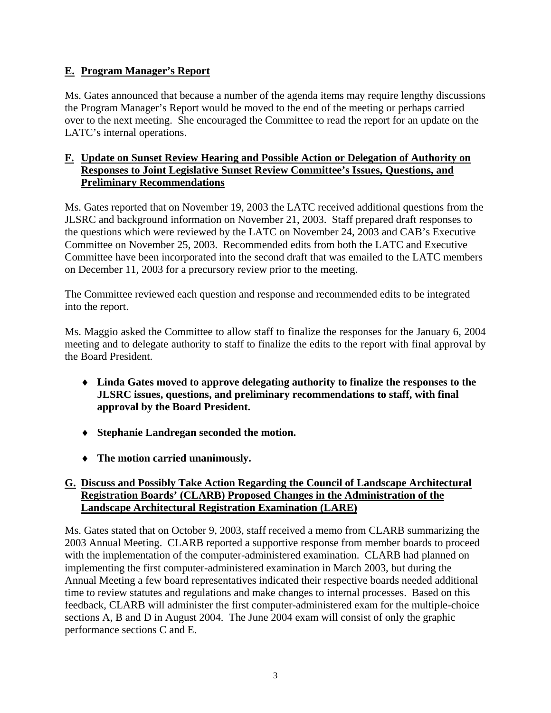## **E. Program Manager's Report**

Ms. Gates announced that because a number of the agenda items may require lengthy discussions the Program Manager's Report would be moved to the end of the meeting or perhaps carried over to the next meeting. She encouraged the Committee to read the report for an update on the LATC's internal operations.

#### **F. Update on Sunset Review Hearing and Possible Action or Delegation of Authority on Responses to Joint Legislative Sunset Review Committee's Issues, Questions, and Preliminary Recommendations**

Ms. Gates reported that on November 19, 2003 the LATC received additional questions from the JLSRC and background information on November 21, 2003. Staff prepared draft responses to the questions which were reviewed by the LATC on November 24, 2003 and CAB's Executive Committee on November 25, 2003. Recommended edits from both the LATC and Executive Committee have been incorporated into the second draft that was emailed to the LATC members on December 11, 2003 for a precursory review prior to the meeting.

The Committee reviewed each question and response and recommended edits to be integrated into the report.

Ms. Maggio asked the Committee to allow staff to finalize the responses for the January 6, 2004 meeting and to delegate authority to staff to finalize the edits to the report with final approval by the Board President.

- ♦ **Linda Gates moved to approve delegating authority to finalize the responses to the JLSRC issues, questions, and preliminary recommendations to staff, with final approval by the Board President.**
- ♦ **Stephanie Landregan seconded the motion.**
- ♦ **The motion carried unanimously.**

#### **G. Discuss and Possibly Take Action Regarding the Council of Landscape Architectural Registration Boards' (CLARB) Proposed Changes in the Administration of the Landscape Architectural Registration Examination (LARE)**

Ms. Gates stated that on October 9, 2003, staff received a memo from CLARB summarizing the 2003 Annual Meeting. CLARB reported a supportive response from member boards to proceed with the implementation of the computer-administered examination. CLARB had planned on implementing the first computer-administered examination in March 2003, but during the Annual Meeting a few board representatives indicated their respective boards needed additional time to review statutes and regulations and make changes to internal processes. Based on this feedback, CLARB will administer the first computer-administered exam for the multiple-choice sections A, B and D in August 2004. The June 2004 exam will consist of only the graphic performance sections C and E.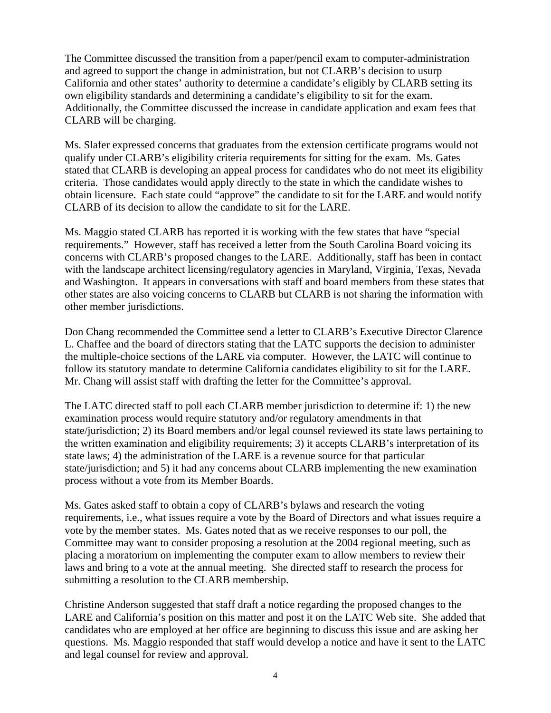The Committee discussed the transition from a paper/pencil exam to computer-administration and agreed to support the change in administration, but not CLARB's decision to usurp California and other states' authority to determine a candidate's eligibly by CLARB setting its own eligibility standards and determining a candidate's eligibility to sit for the exam. Additionally, the Committee discussed the increase in candidate application and exam fees that CLARB will be charging.

Ms. Slafer expressed concerns that graduates from the extension certificate programs would not qualify under CLARB's eligibility criteria requirements for sitting for the exam. Ms. Gates stated that CLARB is developing an appeal process for candidates who do not meet its eligibility criteria. Those candidates would apply directly to the state in which the candidate wishes to obtain licensure. Each state could "approve" the candidate to sit for the LARE and would notify CLARB of its decision to allow the candidate to sit for the LARE.

Ms. Maggio stated CLARB has reported it is working with the few states that have "special requirements." However, staff has received a letter from the South Carolina Board voicing its concerns with CLARB's proposed changes to the LARE. Additionally, staff has been in contact with the landscape architect licensing/regulatory agencies in Maryland, Virginia, Texas, Nevada and Washington. It appears in conversations with staff and board members from these states that other states are also voicing concerns to CLARB but CLARB is not sharing the information with other member jurisdictions.

Don Chang recommended the Committee send a letter to CLARB's Executive Director Clarence L. Chaffee and the board of directors stating that the LATC supports the decision to administer the multiple-choice sections of the LARE via computer. However, the LATC will continue to follow its statutory mandate to determine California candidates eligibility to sit for the LARE. Mr. Chang will assist staff with drafting the letter for the Committee's approval.

The LATC directed staff to poll each CLARB member jurisdiction to determine if: 1) the new examination process would require statutory and/or regulatory amendments in that state/jurisdiction; 2) its Board members and/or legal counsel reviewed its state laws pertaining to the written examination and eligibility requirements; 3) it accepts CLARB's interpretation of its state laws; 4) the administration of the LARE is a revenue source for that particular state/jurisdiction; and 5) it had any concerns about CLARB implementing the new examination process without a vote from its Member Boards.

Ms. Gates asked staff to obtain a copy of CLARB's bylaws and research the voting requirements, i.e., what issues require a vote by the Board of Directors and what issues require a vote by the member states. Ms. Gates noted that as we receive responses to our poll, the Committee may want to consider proposing a resolution at the 2004 regional meeting, such as placing a moratorium on implementing the computer exam to allow members to review their laws and bring to a vote at the annual meeting. She directed staff to research the process for submitting a resolution to the CLARB membership.

Christine Anderson suggested that staff draft a notice regarding the proposed changes to the LARE and California's position on this matter and post it on the LATC Web site. She added that candidates who are employed at her office are beginning to discuss this issue and are asking her questions. Ms. Maggio responded that staff would develop a notice and have it sent to the LATC and legal counsel for review and approval.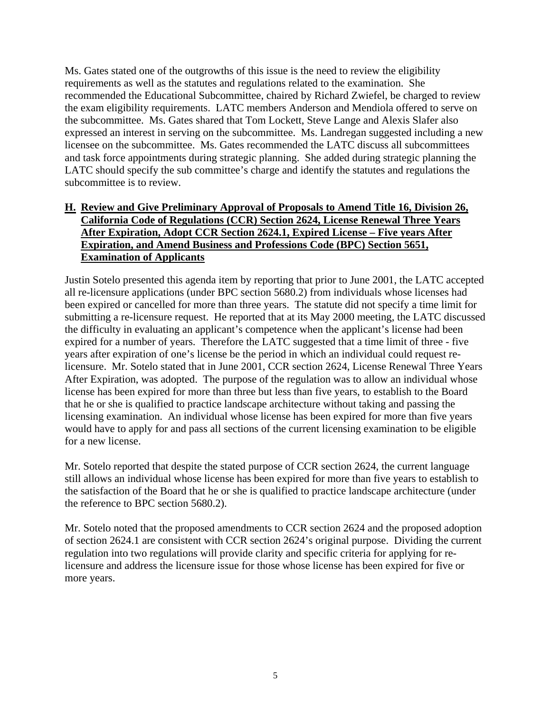Ms. Gates stated one of the outgrowths of this issue is the need to review the eligibility requirements as well as the statutes and regulations related to the examination. She recommended the Educational Subcommittee, chaired by Richard Zwiefel, be charged to review the exam eligibility requirements. LATC members Anderson and Mendiola offered to serve on the subcommittee. Ms. Gates shared that Tom Lockett, Steve Lange and Alexis Slafer also expressed an interest in serving on the subcommittee. Ms. Landregan suggested including a new licensee on the subcommittee. Ms. Gates recommended the LATC discuss all subcommittees and task force appointments during strategic planning. She added during strategic planning the LATC should specify the sub committee's charge and identify the statutes and regulations the subcommittee is to review.

#### **H. Review and Give Preliminary Approval of Proposals to Amend Title 16, Division 26, California Code of Regulations (CCR) Section 2624, License Renewal Three Years After Expiration, Adopt CCR Section 2624.1, Expired License – Five years After Expiration, and Amend Business and Professions Code (BPC) Section 5651, Examination of Applicants**

 licensure. Mr. Sotelo stated that in June 2001, CCR section 2624, License Renewal Three Years Justin Sotelo presented this agenda item by reporting that prior to June 2001, the LATC accepted all re-licensure applications (under BPC section 5680.2) from individuals whose licenses had been expired or cancelled for more than three years. The statute did not specify a time limit for submitting a re-licensure request. He reported that at its May 2000 meeting, the LATC discussed the difficulty in evaluating an applicant's competence when the applicant's license had been expired for a number of years. Therefore the LATC suggested that a time limit of three - five years after expiration of one's license be the period in which an individual could request re-After Expiration, was adopted. The purpose of the regulation was to allow an individual whose license has been expired for more than three but less than five years, to establish to the Board that he or she is qualified to practice landscape architecture without taking and passing the licensing examination. An individual whose license has been expired for more than five years would have to apply for and pass all sections of the current licensing examination to be eligible for a new license.

Mr. Sotelo reported that despite the stated purpose of CCR section 2624, the current language still allows an individual whose license has been expired for more than five years to establish to the satisfaction of the Board that he or she is qualified to practice landscape architecture (under the reference to BPC section 5680.2).

Mr. Sotelo noted that the proposed amendments to CCR section 2624 and the proposed adoption of section 2624.1 are consistent with CCR section 2624's original purpose. Dividing the current regulation into two regulations will provide clarity and specific criteria for applying for relicensure and address the licensure issue for those whose license has been expired for five or more years.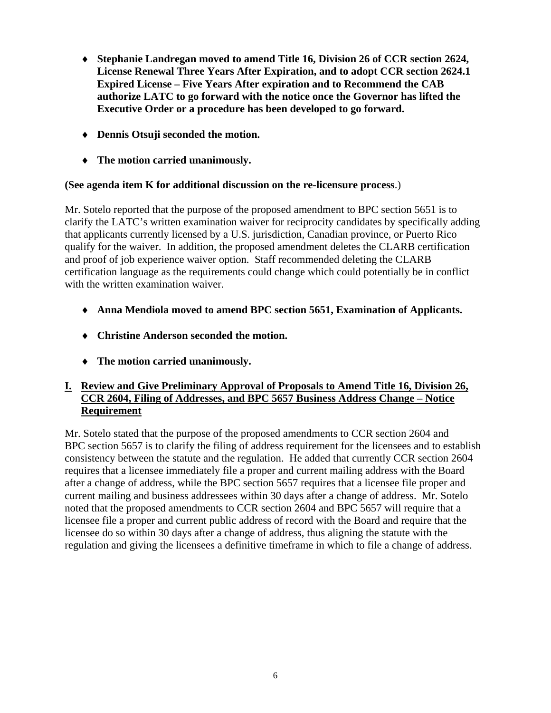- ♦ **Stephanie Landregan moved to amend Title 16, Division 26 of CCR section 2624, License Renewal Three Years After Expiration, and to adopt CCR section 2624.1 Expired License – Five Years After expiration and to Recommend the CAB authorize LATC to go forward with the notice once the Governor has lifted the Executive Order or a procedure has been developed to go forward.**
- ♦ **Dennis Otsuji seconded the motion.**
- ♦ **The motion carried unanimously.**

#### **(See agenda item K for additional discussion on the re-licensure process**.)

Mr. Sotelo reported that the purpose of the proposed amendment to BPC section 5651 is to clarify the LATC's written examination waiver for reciprocity candidates by specifically adding that applicants currently licensed by a U.S. jurisdiction, Canadian province, or Puerto Rico qualify for the waiver. In addition, the proposed amendment deletes the CLARB certification and proof of job experience waiver option. Staff recommended deleting the CLARB certification language as the requirements could change which could potentially be in conflict with the written examination waiver.

- ♦ **Anna Mendiola moved to amend BPC section 5651, Examination of Applicants.**
- ♦ **Christine Anderson seconded the motion.**
- ♦ **The motion carried unanimously.**

### **I. Review and Give Preliminary Approval of Proposals to Amend Title 16, Division 26, CCR 2604, Filing of Addresses, and BPC 5657 Business Address Change – Notice Requirement**

Mr. Sotelo stated that the purpose of the proposed amendments to CCR section 2604 and BPC section 5657 is to clarify the filing of address requirement for the licensees and to establish consistency between the statute and the regulation. He added that currently CCR section 2604 requires that a licensee immediately file a proper and current mailing address with the Board after a change of address, while the BPC section 5657 requires that a licensee file proper and current mailing and business addressees within 30 days after a change of address. Mr. Sotelo noted that the proposed amendments to CCR section 2604 and BPC 5657 will require that a licensee file a proper and current public address of record with the Board and require that the licensee do so within 30 days after a change of address, thus aligning the statute with the regulation and giving the licensees a definitive timeframe in which to file a change of address.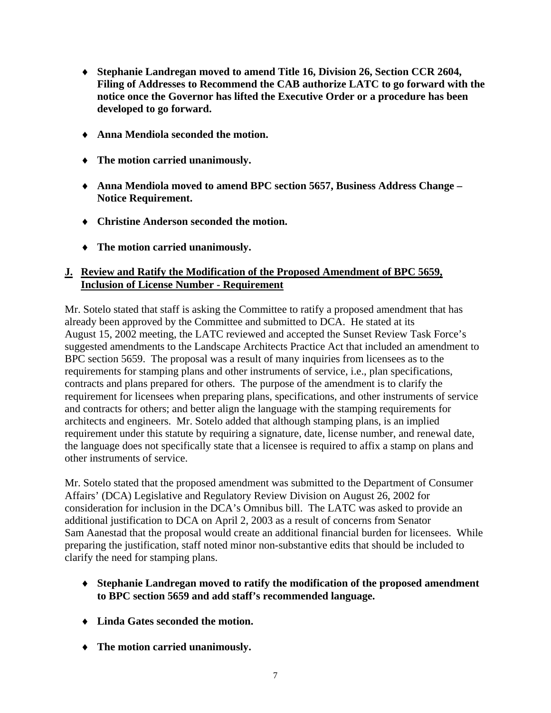- ♦ **Stephanie Landregan moved to amend Title 16, Division 26, Section CCR 2604, Filing of Addresses to Recommend the CAB authorize LATC to go forward with the notice once the Governor has lifted the Executive Order or a procedure has been developed to go forward.**
- ♦ **Anna Mendiola seconded the motion.**
- ♦ **The motion carried unanimously.**
- ♦ **Anna Mendiola moved to amend BPC section 5657, Business Address Change Notice Requirement.**
- ♦ **Christine Anderson seconded the motion.**
- ♦ **The motion carried unanimously.**

#### **J. Review and Ratify the Modification of the Proposed Amendment of BPC 5659, Inclusion of License Number - Requirement**

Mr. Sotelo stated that staff is asking the Committee to ratify a proposed amendment that has already been approved by the Committee and submitted to DCA. He stated at its August 15, 2002 meeting, the LATC reviewed and accepted the Sunset Review Task Force's suggested amendments to the Landscape Architects Practice Act that included an amendment to BPC section 5659. The proposal was a result of many inquiries from licensees as to the requirements for stamping plans and other instruments of service, i.e., plan specifications, contracts and plans prepared for others. The purpose of the amendment is to clarify the requirement for licensees when preparing plans, specifications, and other instruments of service and contracts for others; and better align the language with the stamping requirements for architects and engineers. Mr. Sotelo added that although stamping plans, is an implied requirement under this statute by requiring a signature, date, license number, and renewal date, the language does not specifically state that a licensee is required to affix a stamp on plans and other instruments of service.

Mr. Sotelo stated that the proposed amendment was submitted to the Department of Consumer Affairs' (DCA) Legislative and Regulatory Review Division on August 26, 2002 for consideration for inclusion in the DCA's Omnibus bill. The LATC was asked to provide an additional justification to DCA on April 2, 2003 as a result of concerns from Senator Sam Aanestad that the proposal would create an additional financial burden for licensees. While preparing the justification, staff noted minor non-substantive edits that should be included to clarify the need for stamping plans.

- ♦ **Stephanie Landregan moved to ratify the modification of the proposed amendment to BPC section 5659 and add staff's recommended language.**
- ♦ **Linda Gates seconded the motion.**
- ♦ **The motion carried unanimously.**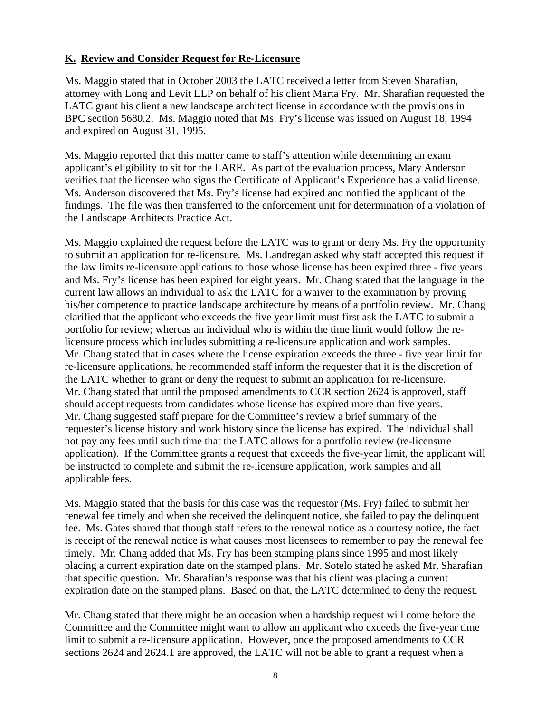### **K. Review and Consider Request for Re-Licensure**

Ms. Maggio stated that in October 2003 the LATC received a letter from Steven Sharafian, attorney with Long and Levit LLP on behalf of his client Marta Fry. Mr. Sharafian requested the LATC grant his client a new landscape architect license in accordance with the provisions in BPC section 5680.2. Ms. Maggio noted that Ms. Fry's license was issued on August 18, 1994 and expired on August 31, 1995.

Ms. Maggio reported that this matter came to staff's attention while determining an exam applicant's eligibility to sit for the LARE. As part of the evaluation process, Mary Anderson verifies that the licensee who signs the Certificate of Applicant's Experience has a valid license. Ms. Anderson discovered that Ms. Fry's license had expired and notified the applicant of the findings. The file was then transferred to the enforcement unit for determination of a violation of the Landscape Architects Practice Act.

Ms. Maggio explained the request before the LATC was to grant or deny Ms. Fry the opportunity to submit an application for re-licensure. Ms. Landregan asked why staff accepted this request if the law limits re-licensure applications to those whose license has been expired three - five years and Ms. Fry's license has been expired for eight years. Mr. Chang stated that the language in the current law allows an individual to ask the LATC for a waiver to the examination by proving his/her competence to practice landscape architecture by means of a portfolio review. Mr. Chang clarified that the applicant who exceeds the five year limit must first ask the LATC to submit a portfolio for review; whereas an individual who is within the time limit would follow the relicensure process which includes submitting a re-licensure application and work samples. Mr. Chang stated that in cases where the license expiration exceeds the three - five year limit for re-licensure applications, he recommended staff inform the requester that it is the discretion of the LATC whether to grant or deny the request to submit an application for re-licensure. Mr. Chang stated that until the proposed amendments to CCR section 2624 is approved, staff should accept requests from candidates whose license has expired more than five years. Mr. Chang suggested staff prepare for the Committee's review a brief summary of the requester's license history and work history since the license has expired. The individual shall not pay any fees until such time that the LATC allows for a portfolio review (re-licensure application). If the Committee grants a request that exceeds the five-year limit, the applicant will be instructed to complete and submit the re-licensure application, work samples and all applicable fees.

Ms. Maggio stated that the basis for this case was the requestor (Ms. Fry) failed to submit her renewal fee timely and when she received the delinquent notice, she failed to pay the delinquent fee. Ms. Gates shared that though staff refers to the renewal notice as a courtesy notice, the fact is receipt of the renewal notice is what causes most licensees to remember to pay the renewal fee timely. Mr. Chang added that Ms. Fry has been stamping plans since 1995 and most likely placing a current expiration date on the stamped plans. Mr. Sotelo stated he asked Mr. Sharafian that specific question. Mr. Sharafian's response was that his client was placing a current expiration date on the stamped plans. Based on that, the LATC determined to deny the request.

Mr. Chang stated that there might be an occasion when a hardship request will come before the Committee and the Committee might want to allow an applicant who exceeds the five-year time limit to submit a re-licensure application. However, once the proposed amendments to CCR sections 2624 and 2624.1 are approved, the LATC will not be able to grant a request when a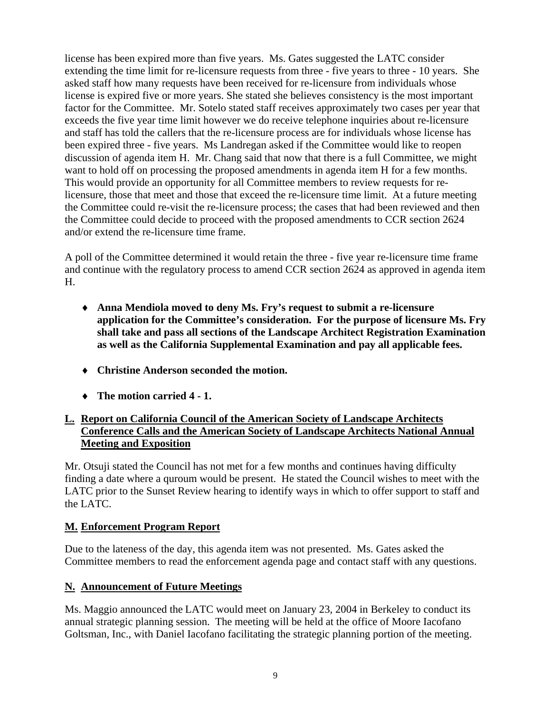license has been expired more than five years. Ms. Gates suggested the LATC consider extending the time limit for re-licensure requests from three - five years to three - 10 years. She asked staff how many requests have been received for re-licensure from individuals whose license is expired five or more years. She stated she believes consistency is the most important factor for the Committee. Mr. Sotelo stated staff receives approximately two cases per year that exceeds the five year time limit however we do receive telephone inquiries about re-licensure and staff has told the callers that the re-licensure process are for individuals whose license has been expired three - five years. Ms Landregan asked if the Committee would like to reopen discussion of agenda item H. Mr. Chang said that now that there is a full Committee, we might want to hold off on processing the proposed amendments in agenda item H for a few months. This would provide an opportunity for all Committee members to review requests for relicensure, those that meet and those that exceed the re-licensure time limit. At a future meeting the Committee could re-visit the re-licensure process; the cases that had been reviewed and then the Committee could decide to proceed with the proposed amendments to CCR section 2624 and/or extend the re-licensure time frame.

A poll of the Committee determined it would retain the three - five year re-licensure time frame and continue with the regulatory process to amend CCR section 2624 as approved in agenda item H.

- ♦ **Anna Mendiola moved to deny Ms. Fry's request to submit a re-licensure application for the Committee's consideration. For the purpose of licensure Ms. Fry shall take and pass all sections of the Landscape Architect Registration Examination as well as the California Supplemental Examination and pay all applicable fees.**
- ♦ **Christine Anderson seconded the motion.**
- ♦ **The motion carried 4 1.**

### **L. Report on California Council of the American Society of Landscape Architects Conference Calls and the American Society of Landscape Architects National Annual Meeting and Exposition**

Mr. Otsuji stated the Council has not met for a few months and continues having difficulty finding a date where a quroum would be present. He stated the Council wishes to meet with the LATC prior to the Sunset Review hearing to identify ways in which to offer support to staff and the LATC.

## **M. Enforcement Program Report**

Due to the lateness of the day, this agenda item was not presented. Ms. Gates asked the Committee members to read the enforcement agenda page and contact staff with any questions.

## **N. Announcement of Future Meetings**

Ms. Maggio announced the LATC would meet on January 23, 2004 in Berkeley to conduct its annual strategic planning session. The meeting will be held at the office of Moore Iacofano Goltsman, Inc., with Daniel Iacofano facilitating the strategic planning portion of the meeting.